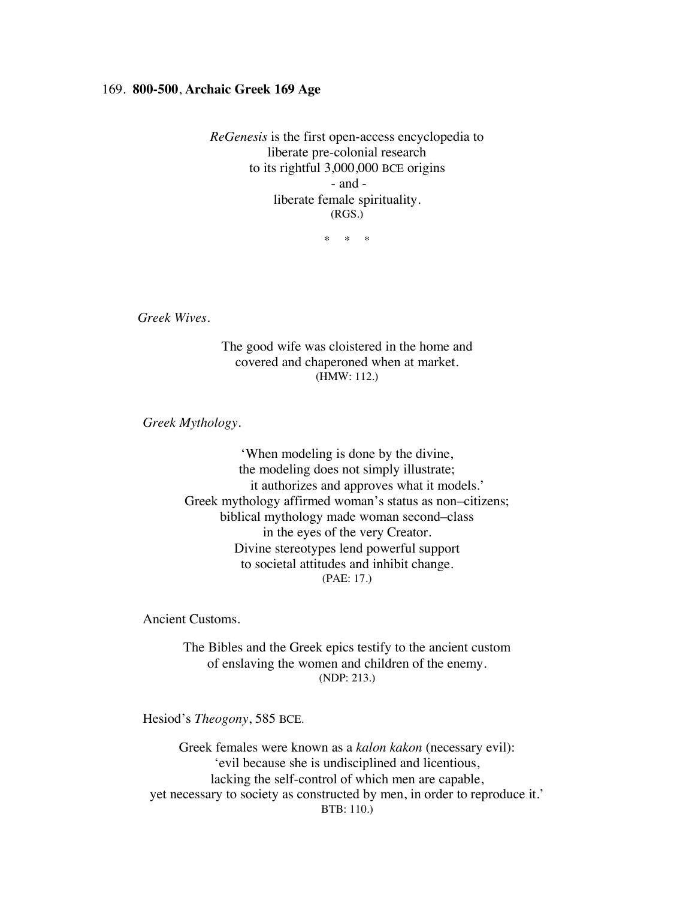## 169. **800-500**, **Archaic Greek 169 Age**

*ReGenesis* is the first open-access encyclopedia to liberate pre-colonial research to its rightful 3,000,000 BCE origins - and liberate female spirituality. (RGS.)

\* \* \*

*Greek Wives.*

The good wife was cloistered in the home and covered and chaperoned when at market. (HMW: 112.)

*Greek Mythology.*

'When modeling is done by the divine, the modeling does not simply illustrate; it authorizes and approves what it models.' Greek mythology affirmed woman's status as non–citizens; biblical mythology made woman second–class in the eyes of the very Creator. Divine stereotypes lend powerful support to societal attitudes and inhibit change. (PAE: 17.)

Ancient Customs.

The Bibles and the Greek epics testify to the ancient custom of enslaving the women and children of the enemy. (NDP: 213.)

Hesiod's *Theogony*, 585 BCE.

Greek females were known as a *kalon kakon* (necessary evil): 'evil because she is undisciplined and licentious, lacking the self-control of which men are capable, yet necessary to society as constructed by men, in order to reproduce it.' BTB: 110.)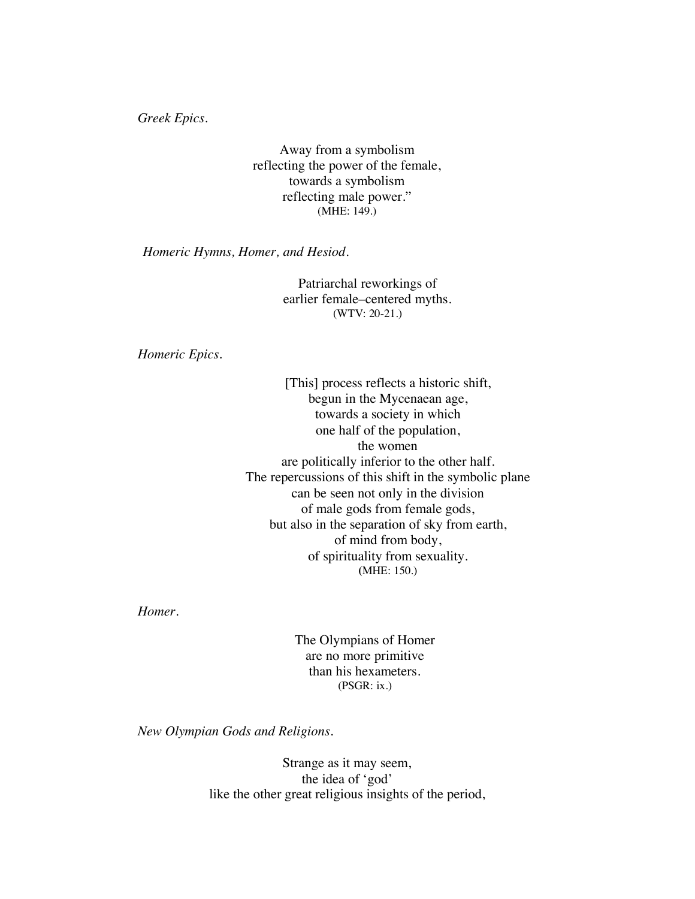*Greek Epics.*

Away from a symbolism reflecting the power of the female, towards a symbolism reflecting male power." (MHE: 149.)

*Homeric Hymns, Homer, and Hesiod.*

Patriarchal reworkings of earlier female–centered myths. (WTV: 20-21.)

*Homeric Epics.*

[This] process reflects a historic shift, begun in the Mycenaean age, towards a society in which one half of the population, the women are politically inferior to the other half. The repercussions of this shift in the symbolic plane can be seen not only in the division of male gods from female gods, but also in the separation of sky from earth, of mind from body, of spirituality from sexuality. **(**MHE: 150.)

*Homer.*

The Olympians of Homer are no more primitive than his hexameters. (PSGR: ix.)

*New Olympian Gods and Religions.*

Strange as it may seem, the idea of 'god' like the other great religious insights of the period,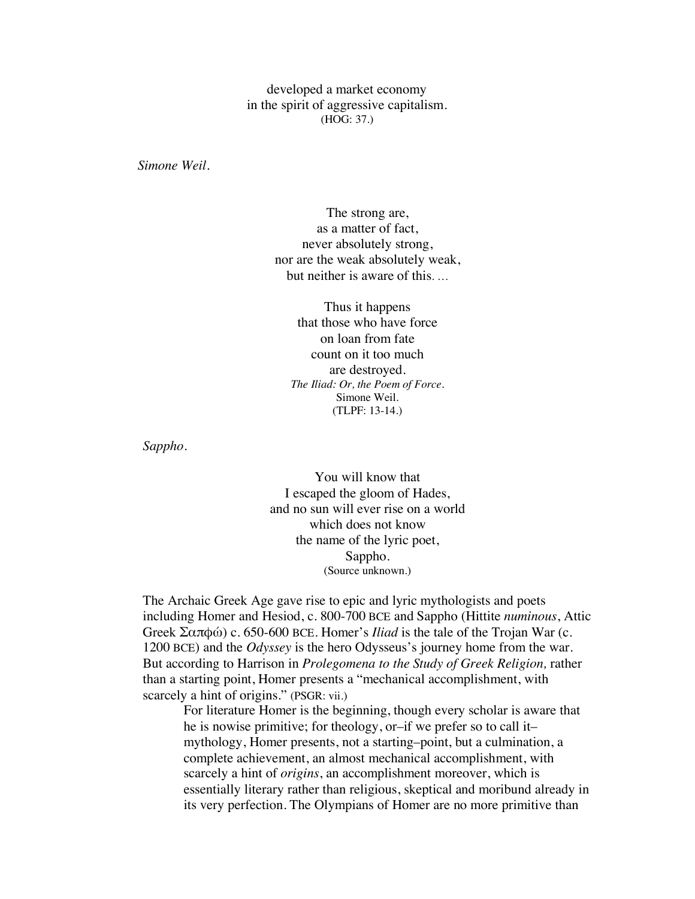developed a market economy in the spirit of aggressive capitalism. (HOG: 37.)

*Simone Weil.*

The strong are, as a matter of fact, never absolutely strong, nor are the weak absolutely weak, but neither is aware of this. …

Thus it happens that those who have force on loan from fate count on it too much are destroyed. *The Iliad: Or, the Poem of Force.* Simone Weil. (TLPF: 13-14.)

*Sappho*.

You will know that I escaped the gloom of Hades, and no sun will ever rise on a world which does not know the name of the lyric poet, Sappho. (Source unknown.)

The Archaic Greek Age gave rise to epic and lyric mythologists and poets including Homer and Hesiod, c. 800-700 BCE and Sappho (Hittite *numinous*, Attic Greek Σαπφώ) c. 650-600 BCE. Homer's *Iliad* is the tale of the Trojan War (c. 1200 BCE) and the *Odyssey* is the hero Odysseus's journey home from the war. But according to Harrison in *Prolegomena to the Study of Greek Religion,* rather than a starting point, Homer presents a "mechanical accomplishment, with scarcely a hint of origins." (PSGR: vii.)

For literature Homer is the beginning, though every scholar is aware that he is nowise primitive; for theology, or–if we prefer so to call it– mythology, Homer presents, not a starting–point, but a culmination, a complete achievement, an almost mechanical accomplishment, with scarcely a hint of *origins*, an accomplishment moreover, which is essentially literary rather than religious, skeptical and moribund already in its very perfection. The Olympians of Homer are no more primitive than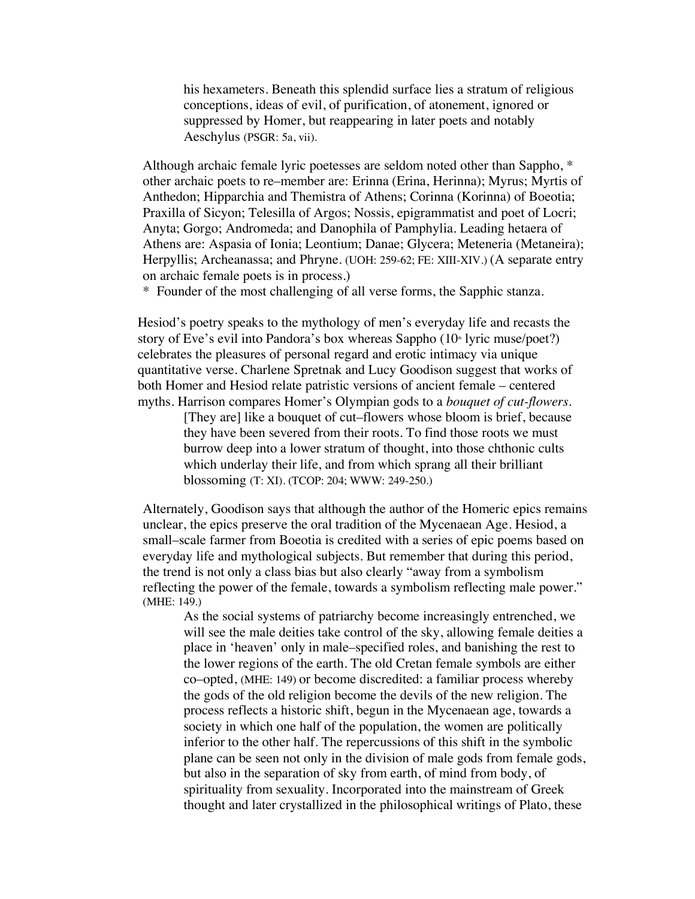his hexameters. Beneath this splendid surface lies a stratum of religious conceptions, ideas of evil, of purification, of atonement, ignored or suppressed by Homer, but reappearing in later poets and notably Aeschylus (PSGR: 5a, vii).

Although archaic female lyric poetesses are seldom noted other than Sappho, \* other archaic poets to re–member are: Erinna (Erina, Herinna); Myrus; Myrtis of Anthedon; Hipparchia and Themistra of Athens; Corinna (Korinna) of Boeotia; Praxilla of Sicyon; Telesilla of Argos; Nossis, epigrammatist and poet of Locri; Anyta; Gorgo; Andromeda; and Danophila of Pamphylia. Leading hetaera of Athens are: Aspasia of Ionia; Leontium; Danae; Glycera; Meteneria (Metaneira); Herpyllis; Archeanassa; and Phryne. (UOH: 259-62; FE: XIII-XIV.) (A separate entry on archaic female poets is in process.)

\* Founder of the most challenging of all verse forms, the Sapphic stanza.

Hesiod's poetry speaks to the mythology of men's everyday life and recasts the story of Eve's evil into Pandora's box whereas Sappho  $(10<sup>th</sup> 1)$  lyric muse/poet?) celebrates the pleasures of personal regard and erotic intimacy via unique quantitative verse. Charlene Spretnak and Lucy Goodison suggest that works of both Homer and Hesiod relate patristic versions of ancient female – centered myths. Harrison compares Homer's Olympian gods to a *bouquet of cut-flowers*.

> [They are] like a bouquet of cut–flowers whose bloom is brief, because they have been severed from their roots. To find those roots we must burrow deep into a lower stratum of thought, into those chthonic cults which underlay their life, and from which sprang all their brilliant blossoming (T: XI). (TCOP: 204; WWW: 249-250.)

Alternately, Goodison says that although the author of the Homeric epics remains unclear, the epics preserve the oral tradition of the Mycenaean Age. Hesiod, a small–scale farmer from Boeotia is credited with a series of epic poems based on everyday life and mythological subjects. But remember that during this period, the trend is not only a class bias but also clearly "away from a symbolism reflecting the power of the female, towards a symbolism reflecting male power." (MHE: 149.)

As the social systems of patriarchy become increasingly entrenched, we will see the male deities take control of the sky, allowing female deities a place in 'heaven' only in male–specified roles, and banishing the rest to the lower regions of the earth. The old Cretan female symbols are either co–opted, (MHE: 149) or become discredited: a familiar process whereby the gods of the old religion become the devils of the new religion. The process reflects a historic shift, begun in the Mycenaean age, towards a society in which one half of the population, the women are politically inferior to the other half. The repercussions of this shift in the symbolic plane can be seen not only in the division of male gods from female gods, but also in the separation of sky from earth, of mind from body, of spirituality from sexuality. Incorporated into the mainstream of Greek thought and later crystallized in the philosophical writings of Plato, these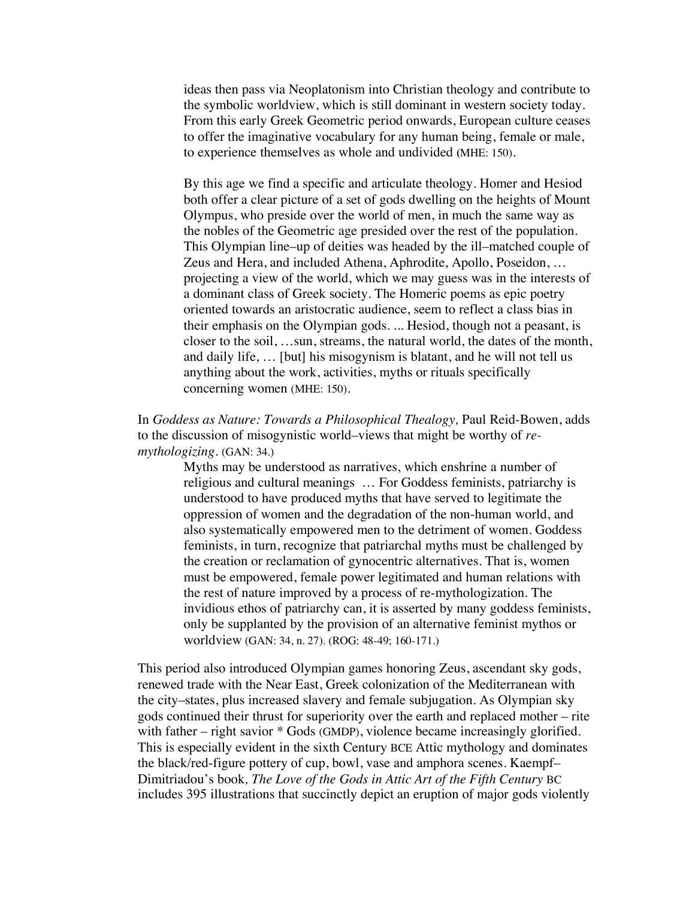ideas then pass via Neoplatonism into Christian theology and contribute to the symbolic worldview, which is still dominant in western society today. From this early Greek Geometric period onwards, European culture ceases to offer the imaginative vocabulary for any human being, female or male, to experience themselves as whole and undivided **(**MHE: 150).

By this age we find a specific and articulate theology. Homer and Hesiod both offer a clear picture of a set of gods dwelling on the heights of Mount Olympus, who preside over the world of men, in much the same way as the nobles of the Geometric age presided over the rest of the population. This Olympian line–up of deities was headed by the ill–matched couple of Zeus and Hera, and included Athena, Aphrodite, Apollo, Poseidon, … projecting a view of the world, which we may guess was in the interests of a dominant class of Greek society. The Homeric poems as epic poetry oriented towards an aristocratic audience, seem to reflect a class bias in their emphasis on the Olympian gods. ... Hesiod, though not a peasant, is closer to the soil, …sun, streams, the natural world, the dates of the month, and daily life, … [but] his misogynism is blatant, and he will not tell us anything about the work, activities, myths or rituals specifically concerning women (MHE: 150).

In *Goddess as Nature: Towards a Philosophical Thealogy,* Paul Reid-Bowen, adds to the discussion of misogynistic world–views that might be worthy of *remythologizing.* (GAN: 34.)

> Myths may be understood as narratives, which enshrine a number of religious and cultural meanings … For Goddess feminists, patriarchy is understood to have produced myths that have served to legitimate the oppression of women and the degradation of the non-human world, and also systematically empowered men to the detriment of women. Goddess feminists, in turn, recognize that patriarchal myths must be challenged by the creation or reclamation of gynocentric alternatives. That is, women must be empowered, female power legitimated and human relations with the rest of nature improved by a process of re-mythologization. The invidious ethos of patriarchy can, it is asserted by many goddess feminists, only be supplanted by the provision of an alternative feminist mythos or worldview (GAN: 34, n. 27). (ROG: 48-49; 160-171.)

This period also introduced Olympian games honoring Zeus, ascendant sky gods, renewed trade with the Near East, Greek colonization of the Mediterranean with the city–states, plus increased slavery and female subjugation. As Olympian sky gods continued their thrust for superiority over the earth and replaced mother – rite with father – right savior \* Gods (GMDP), violence became increasingly glorified. This is especially evident in the sixth Century BCE Attic mythology and dominates the black/red-figure pottery of cup, bowl, vase and amphora scenes. Kaempf– Dimitriadou's book*, The Love of the Gods in Attic Art of the Fifth Century* BC includes 395 illustrations that succinctly depict an eruption of major gods violently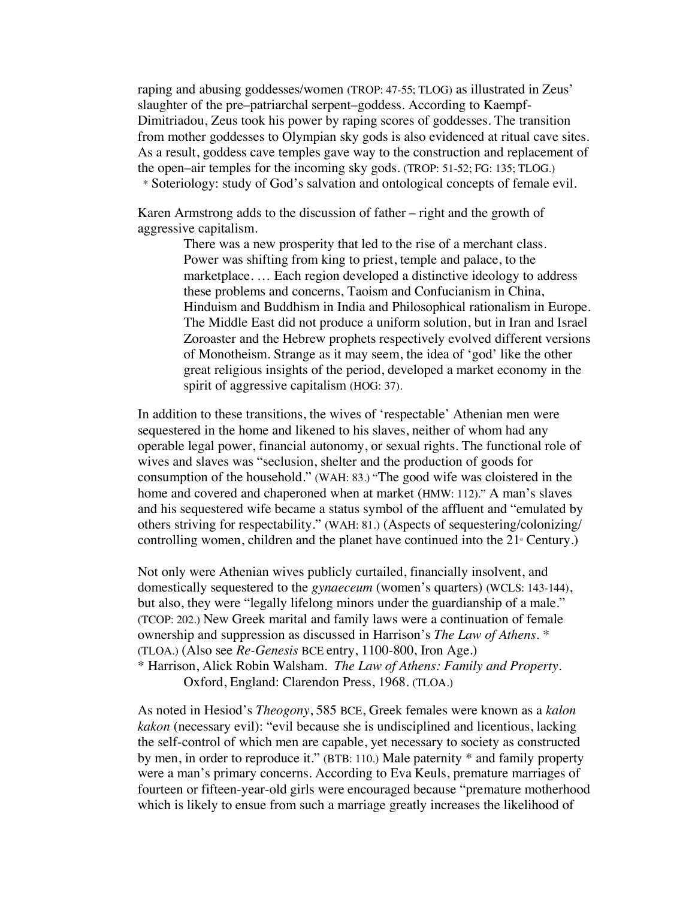raping and abusing goddesses/women (TROP: 47-55; TLOG) as illustrated in Zeus' slaughter of the pre–patriarchal serpent–goddess. According to Kaempf-Dimitriadou, Zeus took his power by raping scores of goddesses. The transition from mother goddesses to Olympian sky gods is also evidenced at ritual cave sites. As a result, goddess cave temples gave way to the construction and replacement of the open–air temples for the incoming sky gods. (TROP: 51-52; FG: 135; TLOG.) \* Soteriology: study of God's salvation and ontological concepts of female evil.

Karen Armstrong adds to the discussion of father – right and the growth of aggressive capitalism.

> There was a new prosperity that led to the rise of a merchant class. Power was shifting from king to priest, temple and palace, to the marketplace. … Each region developed a distinctive ideology to address these problems and concerns, Taoism and Confucianism in China, Hinduism and Buddhism in India and Philosophical rationalism in Europe. The Middle East did not produce a uniform solution, but in Iran and Israel Zoroaster and the Hebrew prophets respectively evolved different versions of Monotheism. Strange as it may seem, the idea of 'god' like the other great religious insights of the period, developed a market economy in the spirit of aggressive capitalism (HOG: 37).

In addition to these transitions, the wives of 'respectable' Athenian men were sequestered in the home and likened to his slaves, neither of whom had any operable legal power, financial autonomy, or sexual rights. The functional role of wives and slaves was "seclusion, shelter and the production of goods for consumption of the household." (WAH: 83.) "The good wife was cloistered in the home and covered and chaperoned when at market (HMW: 112)." A man's slaves and his sequestered wife became a status symbol of the affluent and "emulated by others striving for respectability." (WAH: 81.) (Aspects of sequestering/colonizing/ controlling women, children and the planet have continued into the  $21<sup>*</sup>$  Century.)

Not only were Athenian wives publicly curtailed, financially insolvent, and domestically sequestered to the *gynaeceum* (women's quarters) (WCLS: 143-144), but also, they were "legally lifelong minors under the guardianship of a male." (TCOP: 202.) New Greek marital and family laws were a continuation of female ownership and suppression as discussed in Harrison's *The Law of Athens. \**  (TLOA.) (Also see *Re-Genesis* BCE entry, 1100-800, Iron Age.) \* Harrison, Alick Robin Walsham. *The Law of Athens: Family and Property*.

Oxford, England: Clarendon Press, 1968. (TLOA.)

As noted in Hesiod's *Theogony*, 585 BCE, Greek females were known as a *kalon kakon* (necessary evil): "evil because she is undisciplined and licentious, lacking the self-control of which men are capable, yet necessary to society as constructed by men, in order to reproduce it." (BTB: 110.) Male paternity \* and family property were a man's primary concerns. According to Eva Keuls, premature marriages of fourteen or fifteen-year-old girls were encouraged because "premature motherhood which is likely to ensue from such a marriage greatly increases the likelihood of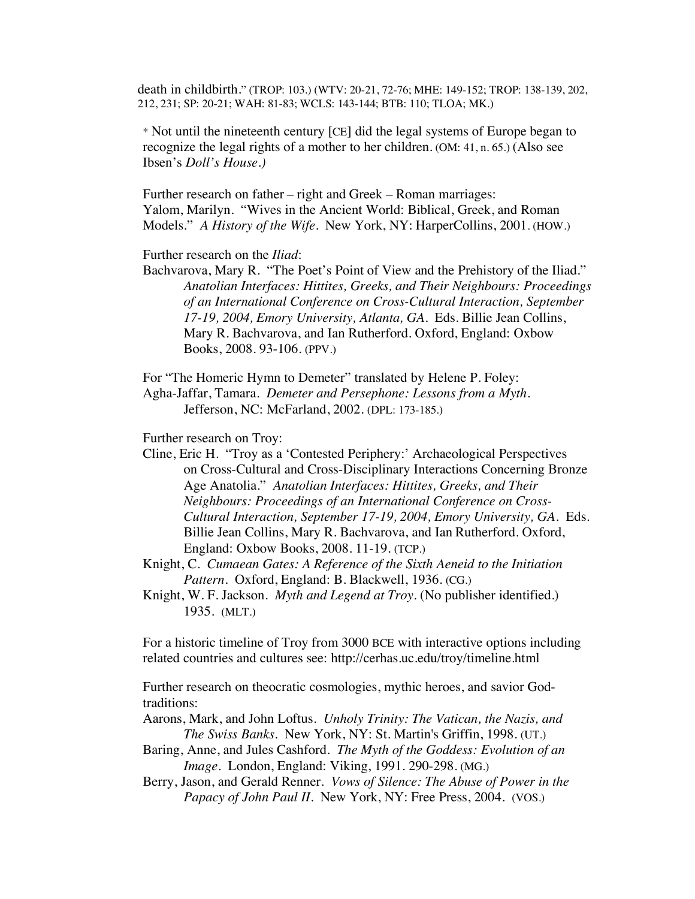death in childbirth." (TROP: 103.) (WTV: 20-21, 72-76; MHE: 149-152; TROP: 138-139, 202, 212, 231; SP: 20-21; WAH: 81-83; WCLS: 143-144; BTB: 110; TLOA; MK.)

\* Not until the nineteenth century [CE] did the legal systems of Europe began to recognize the legal rights of a mother to her children. (OM: 41, n. 65.) (Also see Ibsen's *Doll's House.)*

Further research on father – right and Greek – Roman marriages: Yalom, Marilyn. "Wives in the Ancient World: Biblical, Greek, and Roman Models." *A History of the Wife*. New York, NY: HarperCollins, 2001. (HOW.)

Further research on the *Iliad*:

Bachvarova, Mary R. "The Poet's Point of View and the Prehistory of the Iliad." *Anatolian Interfaces: Hittites, Greeks, and Their Neighbours: Proceedings of an International Conference on Cross-Cultural Interaction, September 17-19, 2004, Emory University, Atlanta, GA.* Eds. Billie Jean Collins, Mary R. Bachvarova, and Ian Rutherford. Oxford, England: Oxbow Books, 2008. 93-106. (PPV.)

For "The Homeric Hymn to Demeter" translated by Helene P. Foley: Agha-Jaffar, Tamara. *Demeter and Persephone: Lessons from a Myth*. Jefferson, NC: McFarland, 2002. (DPL: 173-185.)

Further research on Troy:

Cline, Eric H. "Troy as a 'Contested Periphery:' Archaeological Perspectives on Cross-Cultural and Cross-Disciplinary Interactions Concerning Bronze Age Anatolia." *Anatolian Interfaces: Hittites, Greeks, and Their Neighbours: Proceedings of an International Conference on Cross-Cultural Interaction, September 17-19, 2004, Emory University, GA.* Eds. Billie Jean Collins, Mary R. Bachvarova, and Ian Rutherford. Oxford, England: Oxbow Books, 2008. 11-19. (TCP.)

Knight, C. *Cumaean Gates: A Reference of the Sixth Aeneid to the Initiation Pattern*. Oxford, England: B. Blackwell, 1936. (CG.)

Knight, W. F. Jackson. *Myth and Legend at Troy.* (No publisher identified.) 1935. (MLT.)

For a historic timeline of Troy from 3000 BCE with interactive options including related countries and cultures see: http://cerhas.uc.edu/troy/timeline.html

Further research on theocratic cosmologies, mythic heroes, and savior Godtraditions:

Aarons, Mark, and John Loftus. *Unholy Trinity: The Vatican, the Nazis, and The Swiss Banks*. New York, NY: St. Martin's Griffin, 1998. (UT.)

- Baring, Anne, and Jules Cashford. *The Myth of the Goddess: Evolution of an Image*. London, England: Viking, 1991. 290-298. (MG.)
- Berry, Jason, and Gerald Renner. *Vows of Silence: The Abuse of Power in the Papacy of John Paul II*. New York, NY: Free Press, 2004. (VOS.)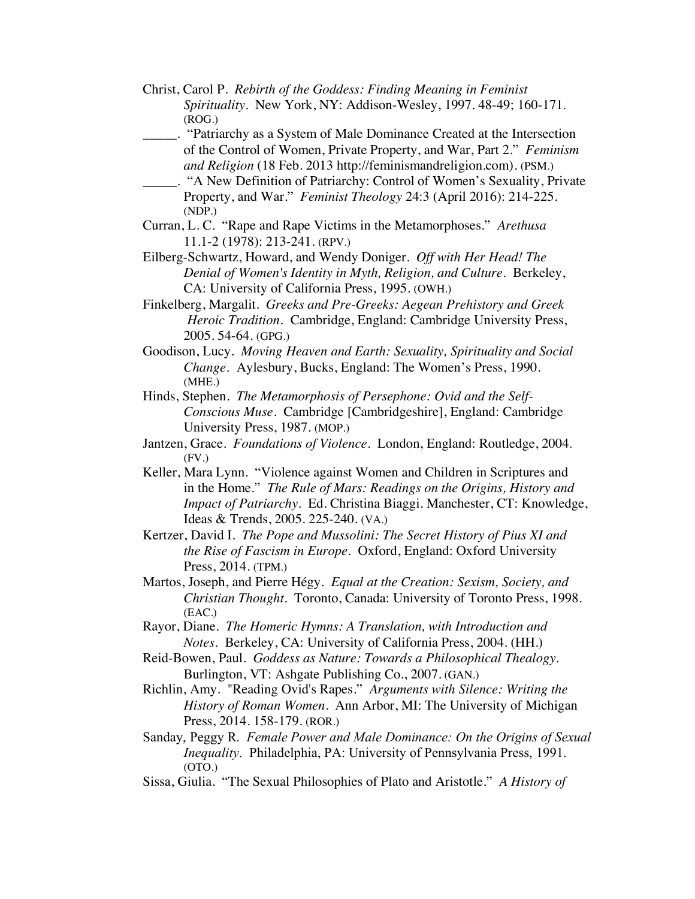- Christ, Carol P. *Rebirth of the Goddess: Finding Meaning in Feminist Spirituality*. New York, NY: Addison-Wesley, 1997. 48-49; 160-171. (ROG.)
- \_\_\_\_\_. "Patriarchy as a System of Male Dominance Created at the Intersection of the Control of Women, Private Property, and War, Part 2." *Feminism and Religion* (18 Feb. 2013 http://feminismandreligion.com). (PSM.)
	- \_\_\_\_\_. "A New Definition of Patriarchy: Control of Women's Sexuality, Private Property, and War." *Feminist Theology* 24:3 (April 2016): 214-225. (NDP.)
- Curran, L. C. "Rape and Rape Victims in the Metamorphoses." *Arethusa* 11.1-2 (1978): 213-241. (RPV.)
- Eilberg-Schwartz, Howard, and Wendy Doniger. *Off with Her Head! The Denial of Women's Identity in Myth, Religion, and Culture*. Berkeley, CA: University of California Press, 1995. (OWH.)
- Finkelberg, Margalit. *Greeks and Pre-Greeks: Aegean Prehistory and Greek Heroic Tradition.* Cambridge, England: Cambridge University Press, 2005. 54-64. (GPG.)
- Goodison, Lucy. *Moving Heaven and Earth: Sexuality, Spirituality and Social Change.* Aylesbury, Bucks, England: The Women's Press, 1990. (MHE.)
- Hinds, Stephen. *The Metamorphosis of Persephone: Ovid and the Self-Conscious Muse*. Cambridge [Cambridgeshire], England: Cambridge University Press, 1987. (MOP.)
- Jantzen, Grace. *Foundations of Violence*. London, England: Routledge, 2004. (FV.)
- Keller, Mara Lynn. "Violence against Women and Children in Scriptures and in the Home." *The Rule of Mars: Readings on the Origins, History and Impact of Patriarchy.* Ed. Christina Biaggi. Manchester, CT: Knowledge, Ideas & Trends, 2005. 225-240. (VA.)
- Kertzer, David I. *The Pope and Mussolini: The Secret History of Pius XI and the Rise of Fascism in Europe.* Oxford, England: Oxford University Press, 2014. (TPM.)
- Martos, Joseph, and Pierre Hégy. *Equal at the Creation: Sexism, Society, and Christian Thought*. Toronto, Canada: University of Toronto Press, 1998. (EAC.)
- Rayor, Diane. *The Homeric Hymns: A Translation, with Introduction and Notes.* Berkeley, CA: University of California Press, 2004. (HH.)
- Reid-Bowen, Paul. *Goddess as Nature: Towards a Philosophical Thealogy.* Burlington, VT: Ashgate Publishing Co., 2007. (GAN.)
- Richlin, Amy. "Reading Ovid's Rapes." *Arguments with Silence: Writing the History of Roman Women*. Ann Arbor, MI: The University of Michigan Press, 2014. 158-179. (ROR.)
- Sanday, Peggy R. *Female Power and Male Dominance: On the Origins of Sexual Inequality*. Philadelphia, PA: University of Pennsylvania Press, 1991. (OTO.)
- Sissa, Giulia. "The Sexual Philosophies of Plato and Aristotle." *A History of*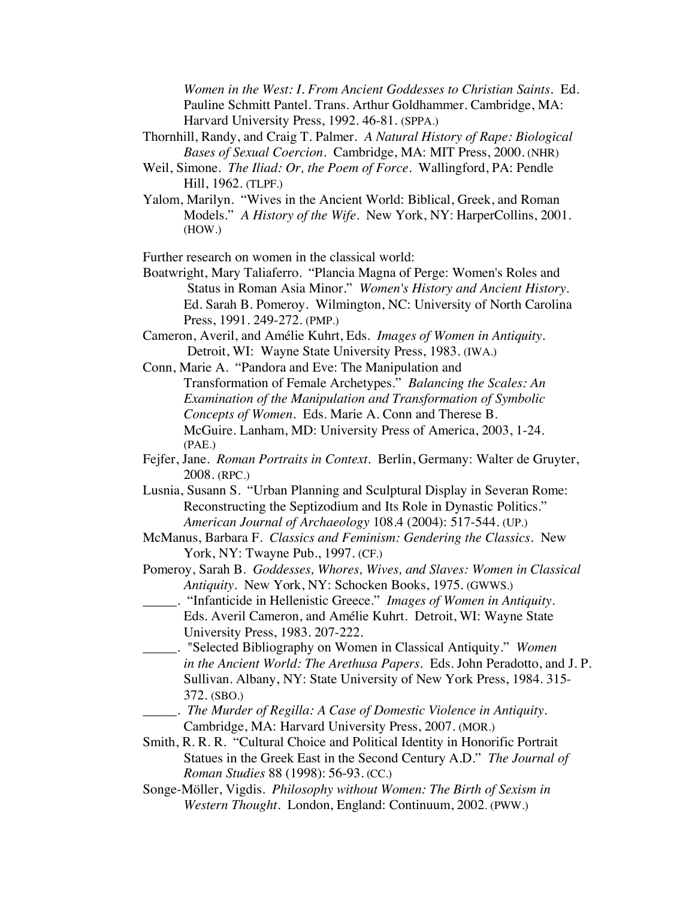*Women in the West: I. From Ancient Goddesses to Christian Saints.* Ed. Pauline Schmitt Pantel. Trans. Arthur Goldhammer. Cambridge, MA: Harvard University Press, 1992. 46-81. (SPPA.)

- Thornhill, Randy, and Craig T. Palmer. *A Natural History of Rape: Biological Bases of Sexual Coercion*. Cambridge, MA: MIT Press, 2000. (NHR)
- Weil, Simone. *The Iliad: Or, the Poem of Force*. Wallingford, PA: Pendle Hill, 1962. (TLPF.)
- Yalom, Marilyn. "Wives in the Ancient World: Biblical, Greek, and Roman Models." *A History of the Wife*. New York, NY: HarperCollins, 2001. (HOW.)

Further research on women in the classical world:

- Boatwright, Mary Taliaferro. "Plancia Magna of Perge: Women's Roles and Status in Roman Asia Minor." *Women's History and Ancient History*. Ed. Sarah B. Pomeroy. Wilmington, NC: University of North Carolina Press, 1991. 249-272. (PMP.)
- Cameron, Averil, and Amélie Kuhrt, Eds. *Images of Women in Antiquity*. Detroit, WI: Wayne State University Press, 1983. (IWA.)

Conn, Marie A. "Pandora and Eve: The Manipulation and Transformation of Female Archetypes." *Balancing the Scales: An Examination of the Manipulation and Transformation of Symbolic Concepts of Women*. Eds. Marie A. Conn and Therese B. McGuire*.* Lanham, MD: University Press of America, 2003, 1-24. (PAE.)

- Fejfer, Jane. *Roman Portraits in Context*. Berlin, Germany: Walter de Gruyter, 2008. (RPC.)
- Lusnia, Susann S. "Urban Planning and Sculptural Display in Severan Rome: Reconstructing the Septizodium and Its Role in Dynastic Politics." *American Journal of Archaeology* 108.4 (2004): 517-544. (UP.)
- McManus, Barbara F. *Classics and Feminism: Gendering the Classics.* New York, NY: Twayne Pub., 1997. (CF.)
- Pomeroy, Sarah B. *Goddesses, Whores, Wives, and Slaves: Women in Classical Antiquity.* New York, NY: Schocken Books, 1975. (GWWS.)
- \_\_\_\_\_. "Infanticide in Hellenistic Greece." *Images of Women in Antiquity*. Eds. Averil Cameron, and Amélie Kuhrt. Detroit, WI: Wayne State University Press, 1983. 207-222.
- \_\_\_\_\_. "Selected Bibliography on Women in Classical Antiquity." *Women in the Ancient World: The Arethusa Papers*. Eds. John Peradotto, and J. P. Sullivan. Albany, NY: State University of New York Press, 1984. 315- 372. (SBO.)
- \_\_\_\_\_. *The Murder of Regilla: A Case of Domestic Violence in Antiquity*. Cambridge, MA: Harvard University Press, 2007. (MOR.)
- Smith, R. R. R. "Cultural Choice and Political Identity in Honorific Portrait Statues in the Greek East in the Second Century A.D." *The Journal of Roman Studies* 88 (1998): 56-93. (CC.)
- Songe-Möller, Vigdis. *Philosophy without Women: The Birth of Sexism in Western Thought*. London, England: Continuum, 2002. (PWW.)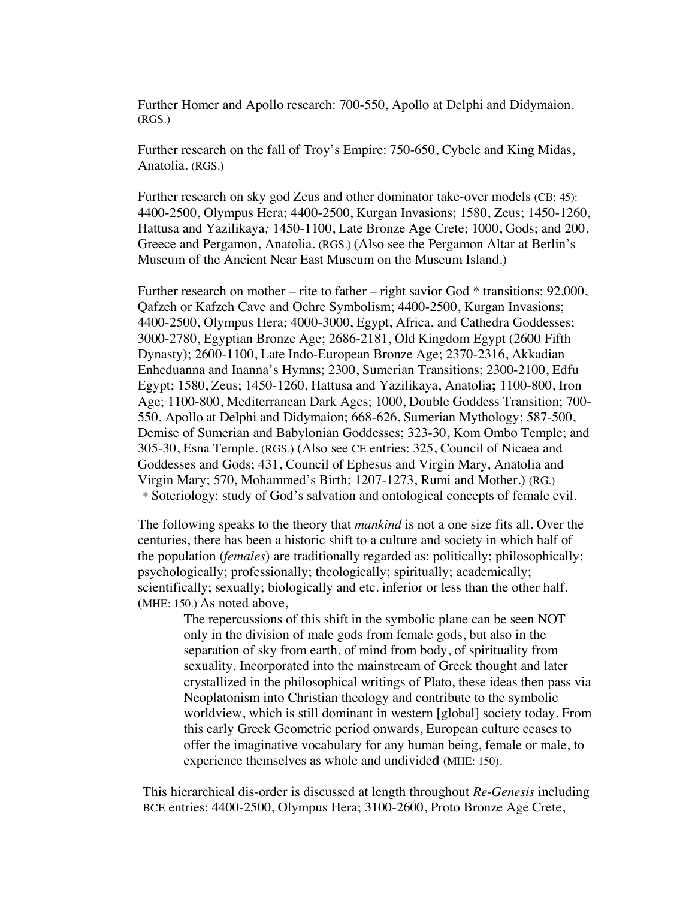Further Homer and Apollo research: 700-550, Apollo at Delphi and Didymaion. (RGS.)

Further research on the fall of Troy's Empire: 750-650, Cybele and King Midas, Anatolia. (RGS.)

Further research on sky god Zeus and other dominator take-over models (CB: 45): 4400-2500, Olympus Hera; 4400-2500, Kurgan Invasions; 1580, Zeus; 1450-1260, Hattusa and Yazilikaya*;* 1450-1100, Late Bronze Age Crete; 1000, Gods; and 200, Greece and Pergamon, Anatolia. (RGS.) (Also see the Pergamon Altar at Berlin's Museum of the Ancient Near East Museum on the Museum Island.)

Further research on mother – rite to father – right savior God  $*$  transitions: 92,000, Qafzeh or Kafzeh Cave and Ochre Symbolism; 4400-2500, Kurgan Invasions; 4400-2500, Olympus Hera; 4000-3000, Egypt, Africa, and Cathedra Goddesses; 3000-2780, Egyptian Bronze Age; 2686-2181, Old Kingdom Egypt (2600 Fifth Dynasty); 2600-1100, Late Indo-European Bronze Age; 2370-2316, Akkadian Enheduanna and Inanna's Hymns; 2300, Sumerian Transitions; 2300-2100, Edfu Egypt; 1580, Zeus; 1450-1260, Hattusa and Yazilikaya, Anatolia**;** 1100-800, Iron Age; 1100-800, Mediterranean Dark Ages; 1000, Double Goddess Transition; 700- 550, Apollo at Delphi and Didymaion; 668-626, Sumerian Mythology; 587-500, Demise of Sumerian and Babylonian Goddesses; 323-30, Kom Ombo Temple; and 305-30, Esna Temple. (RGS.) (Also see CE entries: 325, Council of Nicaea and Goddesses and Gods; 431, Council of Ephesus and Virgin Mary, Anatolia and Virgin Mary; 570, Mohammed's Birth; 1207-1273, Rumi and Mother.) (RG.) \* Soteriology: study of God's salvation and ontological concepts of female evil.

The following speaks to the theory that *mankind* is not a one size fits all. Over the centuries, there has been a historic shift to a culture and society in which half of the population (*females*) are traditionally regarded as: politically; philosophically; psychologically; professionally; theologically; spiritually; academically; scientifically; sexually; biologically and etc. inferior or less than the other half. (MHE: 150.) As noted above,

> The repercussions of this shift in the symbolic plane can be seen NOT only in the division of male gods from female gods, but also in the separation of sky from earth, of mind from body, of spirituality from sexuality. Incorporated into the mainstream of Greek thought and later crystallized in the philosophical writings of Plato, these ideas then pass via Neoplatonism into Christian theology and contribute to the symbolic worldview, which is still dominant in western [global] society today. From this early Greek Geometric period onwards, European culture ceases to offer the imaginative vocabulary for any human being, female or male, to experience themselves as whole and undivide**d (**MHE: 150).

This hierarchical dis-order is discussed at length throughout *Re-Genesis* including BCE entries: 4400-2500, Olympus Hera; 3100-2600, Proto Bronze Age Crete,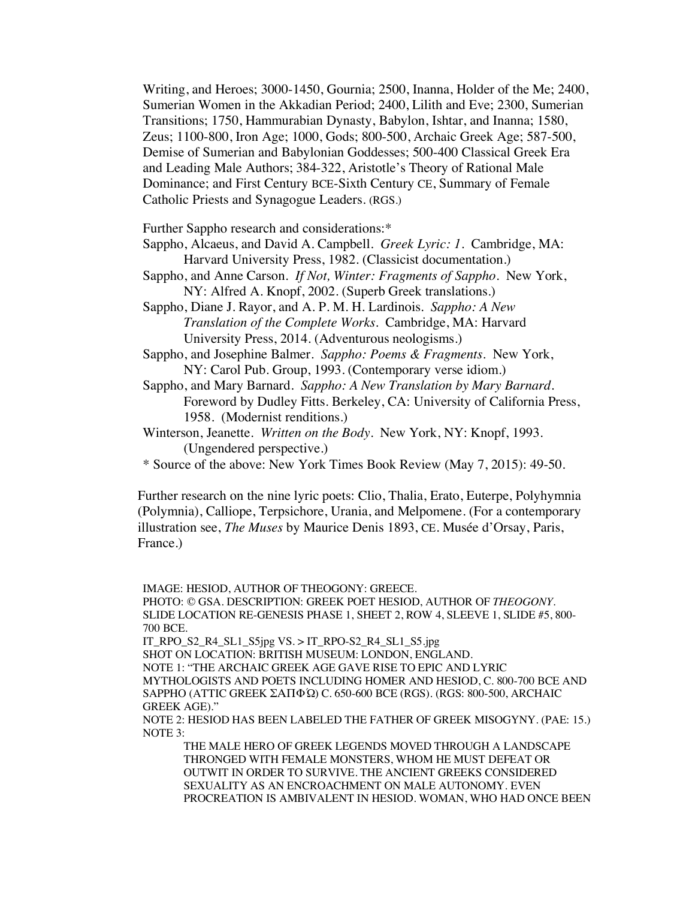Writing, and Heroes; 3000-1450, Gournia; 2500, Inanna, Holder of the Me; 2400, Sumerian Women in the Akkadian Period; 2400, Lilith and Eve; 2300, Sumerian Transitions; 1750, Hammurabian Dynasty, Babylon, Ishtar, and Inanna; 1580, Zeus; 1100-800, Iron Age; 1000, Gods; 800-500, Archaic Greek Age; 587-500, Demise of Sumerian and Babylonian Goddesses; 500-400 Classical Greek Era and Leading Male Authors; 384-322, Aristotle's Theory of Rational Male Dominance; and First Century BCE-Sixth Century CE, Summary of Female Catholic Priests and Synagogue Leaders. (RGS.)

Further Sappho research and considerations:\*

- Sappho, Alcaeus, and David A. Campbell. *Greek Lyric: 1*. Cambridge, MA: Harvard University Press, 1982. (Classicist documentation.)
- Sappho, and Anne Carson. *If Not, Winter: Fragments of Sappho*. New York, NY: Alfred A. Knopf, 2002. (Superb Greek translations.)
- Sappho, Diane J. Rayor, and A. P. M. H. Lardinois. *Sappho: A New Translation of the Complete Works*. Cambridge, MA: Harvard University Press, 2014. (Adventurous neologisms.)
- Sappho, and Josephine Balmer. *Sappho: Poems & Fragments*. New York, NY: Carol Pub. Group, 1993. (Contemporary verse idiom.)
- Sappho, and Mary Barnard. *Sappho: A New Translation by Mary Barnard.* Foreword by Dudley Fitts. Berkeley, CA: University of California Press, 1958. (Modernist renditions.)
- Winterson, Jeanette. *Written on the Body*. New York, NY: Knopf, 1993. (Ungendered perspective.)
- \* Source of the above: New York Times Book Review (May 7, 2015): 49-50.

Further research on the nine lyric poets: Clio, Thalia, Erato, Euterpe, Polyhymnia (Polymnia), Calliope, Terpsichore, Urania, and Melpomene. (For a contemporary illustration see, *The Muses* by Maurice Denis 1893, CE. Musée d'Orsay, Paris, France.)

IMAGE: HESIOD, AUTHOR OF THEOGONY: GREECE.

PHOTO: © GSA. DESCRIPTION: GREEK POET HESIOD, AUTHOR OF *THEOGONY*. SLIDE LOCATION RE-GENESIS PHASE 1, SHEET 2, ROW 4, SLEEVE 1, SLIDE #5, 800- 700 BCE.

IT\_RPO\_S2\_R4\_SL1\_S5jpg VS. > IT\_RPO-S2\_R4\_SL1\_S5.jpg SHOT ON LOCATION: BRITISH MUSEUM: LONDON, ENGLAND. NOTE 1: "THE ARCHAIC GREEK AGE GAVE RISE TO EPIC AND LYRIC MYTHOLOGISTS AND POETS INCLUDING HOMER AND HESIOD, C. 800-700 BCE AND SAPPHO (ATTIC GREEK ΣΑΠΦΏ) C. 650-600 BCE (RGS). (RGS: 800-500, ARCHAIC GREEK AGE)."

NOTE 2: HESIOD HAS BEEN LABELED THE FATHER OF GREEK MISOGYNY. (PAE: 15.) NOTE 3:

THE MALE HERO OF GREEK LEGENDS MOVED THROUGH A LANDSCAPE THRONGED WITH FEMALE MONSTERS, WHOM HE MUST DEFEAT OR OUTWIT IN ORDER TO SURVIVE. THE ANCIENT GREEKS CONSIDERED SEXUALITY AS AN ENCROACHMENT ON MALE AUTONOMY. EVEN PROCREATION IS AMBIVALENT IN HESIOD. WOMAN, WHO HAD ONCE BEEN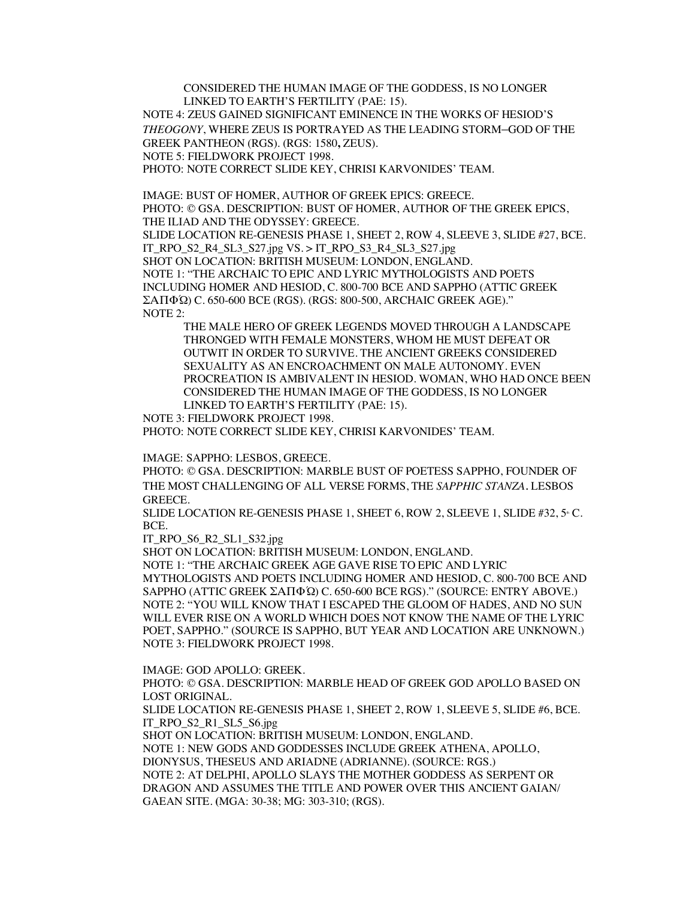CONSIDERED THE HUMAN IMAGE OF THE GODDESS, IS NO LONGER LINKED TO EARTH'S FERTILITY (PAE: 15).

NOTE 4: ZEUS GAINED SIGNIFICANT EMINENCE IN THE WORKS OF HESIOD'S *THEOGONY*, WHERE ZEUS IS PORTRAYED AS THE LEADING STORM–GOD OF THE GREEK PANTHEON (RGS). (RGS: 1580**,** ZEUS).

NOTE 5: FIELDWORK PROJECT 1998.

PHOTO: NOTE CORRECT SLIDE KEY, CHRISI KARVONIDES' TEAM.

IMAGE: BUST OF HOMER, AUTHOR OF GREEK EPICS: GREECE. PHOTO: © GSA. DESCRIPTION: BUST OF HOMER, AUTHOR OF THE GREEK EPICS, THE ILIAD AND THE ODYSSEY: GREECE. SLIDE LOCATION RE-GENESIS PHASE 1, SHEET 2, ROW 4, SLEEVE 3, SLIDE #27, BCE. IT\_RPO\_S2\_R4\_SL3\_S27.jpg VS. > IT\_RPO\_S3\_R4\_SL3\_S27.jpg SHOT ON LOCATION: BRITISH MUSEUM: LONDON, ENGLAND. NOTE 1: "THE ARCHAIC TO EPIC AND LYRIC MYTHOLOGISTS AND POETS INCLUDING HOMER AND HESIOD, C. 800-700 BCE AND SAPPHO (ATTIC GREEK ΣΑΠΦΏ) C. 650-600 BCE (RGS). (RGS: 800-500, ARCHAIC GREEK AGE)." NOTE 2:

THE MALE HERO OF GREEK LEGENDS MOVED THROUGH A LANDSCAPE THRONGED WITH FEMALE MONSTERS, WHOM HE MUST DEFEAT OR OUTWIT IN ORDER TO SURVIVE. THE ANCIENT GREEKS CONSIDERED SEXUALITY AS AN ENCROACHMENT ON MALE AUTONOMY. EVEN PROCREATION IS AMBIVALENT IN HESIOD. WOMAN, WHO HAD ONCE BEEN CONSIDERED THE HUMAN IMAGE OF THE GODDESS, IS NO LONGER LINKED TO EARTH'S FERTILITY (PAE: 15).

NOTE 3: FIELDWORK PROJECT 1998.

PHOTO: NOTE CORRECT SLIDE KEY, CHRISI KARVONIDES' TEAM.

IMAGE: SAPPHO: LESBOS, GREECE.

PHOTO: © GSA. DESCRIPTION: MARBLE BUST OF POETESS SAPPHO, FOUNDER OF THE MOST CHALLENGING OF ALL VERSE FORMS, THE *SAPPHIC STANZA.* LESBOS GREECE.

SLIDE LOCATION RE-GENESIS PHASE 1, SHEET 6, ROW 2, SLEEVE 1, SLIDE #32, 5 °C. BCE.

IT\_RPO\_S6\_R2\_SL1\_S32.jpg

SHOT ON LOCATION: BRITISH MUSEUM: LONDON, ENGLAND. NOTE 1: "THE ARCHAIC GREEK AGE GAVE RISE TO EPIC AND LYRIC MYTHOLOGISTS AND POETS INCLUDING HOMER AND HESIOD, C. 800-700 BCE AND SAPPHO (ATTIC GREEK ΣΑΠΦΏ) C. 650-600 BCE RGS)." (SOURCE: ENTRY ABOVE.) NOTE 2: "YOU WILL KNOW THAT I ESCAPED THE GLOOM OF HADES, AND NO SUN WILL EVER RISE ON A WORLD WHICH DOES NOT KNOW THE NAME OF THE LYRIC POET, SAPPHO." (SOURCE IS SAPPHO, BUT YEAR AND LOCATION ARE UNKNOWN.) NOTE 3: FIELDWORK PROJECT 1998.

IMAGE: GOD APOLLO: GREEK.

PHOTO: © GSA. DESCRIPTION: MARBLE HEAD OF GREEK GOD APOLLO BASED ON LOST ORIGINAL.

SLIDE LOCATION RE-GENESIS PHASE 1, SHEET 2, ROW 1, SLEEVE 5, SLIDE #6, BCE. IT\_RPO\_S2\_R1\_SL5\_S6.jpg

SHOT ON LOCATION: BRITISH MUSEUM: LONDON, ENGLAND. NOTE 1: NEW GODS AND GODDESSES INCLUDE GREEK ATHENA, APOLLO, DIONYSUS, THESEUS AND ARIADNE (ADRIANNE). (SOURCE: RGS.) NOTE 2: AT DELPHI, APOLLO SLAYS THE MOTHER GODDESS AS SERPENT OR DRAGON AND ASSUMES THE TITLE AND POWER OVER THIS ANCIENT GAIAN/ GAEAN SITE. **(**MGA: 30-38; MG: 303-310; (RGS).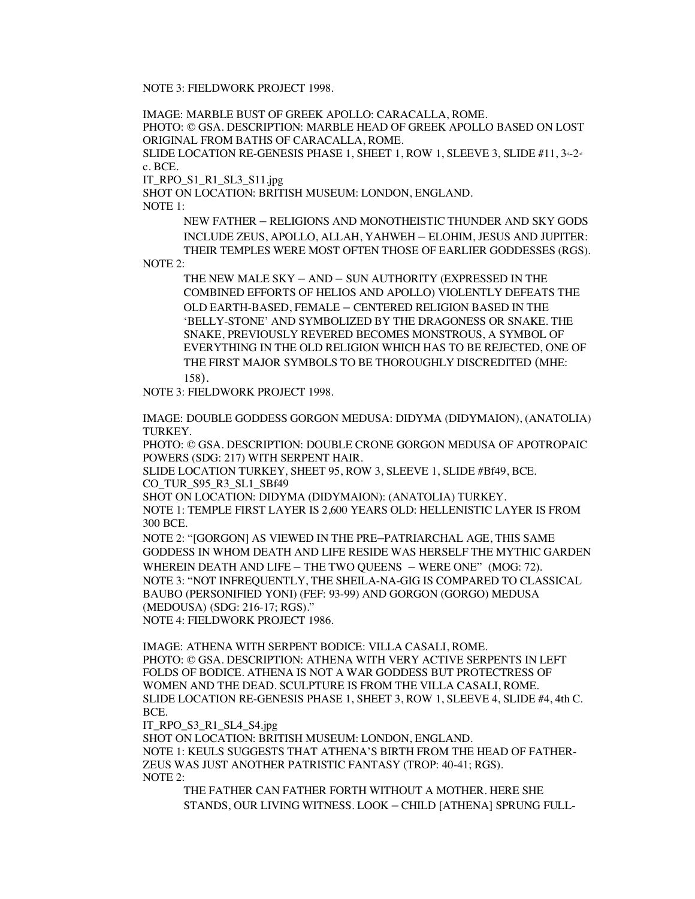NOTE 3: FIELDWORK PROJECT 1998.

IMAGE: MARBLE BUST OF GREEK APOLLO: CARACALLA, ROME. PHOTO: © GSA. DESCRIPTION: MARBLE HEAD OF GREEK APOLLO BASED ON LOST ORIGINAL FROM BATHS OF CARACALLA, ROME. SLIDE LOCATION RE-GENESIS PHASE 1, SHEET 1, ROW 1, SLEEVE 3, SLIDE  $#11, 3-2$ c. BCE. IT\_RPO\_S1\_R1\_SL3\_S11.jpg SHOT ON LOCATION: BRITISH MUSEUM: LONDON, ENGLAND. NOTE 1: NEW FATHER – RELIGIONS AND MONOTHEISTIC THUNDER AND SKY GODS INCLUDE ZEUS, APOLLO, ALLAH, YAHWEH – ELOHIM, JESUS AND JUPITER: THEIR TEMPLES WERE MOST OFTEN THOSE OF EARLIER GODDESSES (RGS). NOTE 2: THE NEW MALE SKY – AND – SUN AUTHORITY (EXPRESSED IN THE COMBINED EFFORTS OF HELIOS AND APOLLO) VIOLENTLY DEFEATS THE OLD EARTH-BASED, FEMALE – CENTERED RELIGION BASED IN THE 'BELLY-STONE' AND SYMBOLIZED BY THE DRAGONESS OR SNAKE. THE SNAKE, PREVIOUSLY REVERED BECOMES MONSTROUS, A SYMBOL OF EVERYTHING IN THE OLD RELIGION WHICH HAS TO BE REJECTED, ONE OF THE FIRST MAJOR SYMBOLS TO BE THOROUGHLY DISCREDITED (MHE:

158).

NOTE 3: FIELDWORK PROJECT 1998.

IMAGE: DOUBLE GODDESS GORGON MEDUSA: DIDYMA (DIDYMAION), (ANATOLIA) TURKEY.

PHOTO: © GSA. DESCRIPTION: DOUBLE CRONE GORGON MEDUSA OF APOTROPAIC POWERS (SDG: 217) WITH SERPENT HAIR.

SLIDE LOCATION TURKEY, SHEET 95, ROW 3, SLEEVE 1, SLIDE #Bf49, BCE. CO TUR S95 R3 SL1 SBf49

SHOT ON LOCATION: DIDYMA (DIDYMAION): (ANATOLIA) TURKEY. NOTE 1: TEMPLE FIRST LAYER IS 2,600 YEARS OLD: HELLENISTIC LAYER IS FROM 300 BCE.

NOTE 2: "[GORGON] AS VIEWED IN THE PRE–PATRIARCHAL AGE, THIS SAME GODDESS IN WHOM DEATH AND LIFE RESIDE WAS HERSELF THE MYTHIC GARDEN WHEREIN DEATH AND LIFE – THE TWO QUEENS – WERE ONE" (MOG: 72). NOTE 3: "NOT INFREQUENTLY, THE SHEILA-NA-GIG IS COMPARED TO CLASSICAL BAUBO (PERSONIFIED YONI) (FEF: 93-99) AND GORGON (GORGO) MEDUSA (MEDOUSA) (SDG: 216-17; RGS)." NOTE 4: FIELDWORK PROJECT 1986.

IMAGE: ATHENA WITH SERPENT BODICE: VILLA CASALI, ROME. PHOTO: © GSA. DESCRIPTION: ATHENA WITH VERY ACTIVE SERPENTS IN LEFT FOLDS OF BODICE. ATHENA IS NOT A WAR GODDESS BUT PROTECTRESS OF WOMEN AND THE DEAD. SCULPTURE IS FROM THE VILLA CASALI, ROME. SLIDE LOCATION RE-GENESIS PHASE 1, SHEET 3, ROW 1, SLEEVE 4, SLIDE #4, 4th C. BCE.

IT\_RPO\_S3\_R1\_SL4\_S4.jpg

SHOT ON LOCATION: BRITISH MUSEUM: LONDON, ENGLAND. NOTE 1: KEULS SUGGESTS THAT ATHENA'S BIRTH FROM THE HEAD OF FATHER-ZEUS WAS JUST ANOTHER PATRISTIC FANTASY (TROP: 40-41; RGS). NOTE 2:

THE FATHER CAN FATHER FORTH WITHOUT A MOTHER. HERE SHE STANDS, OUR LIVING WITNESS. LOOK – CHILD [ATHENA] SPRUNG FULL-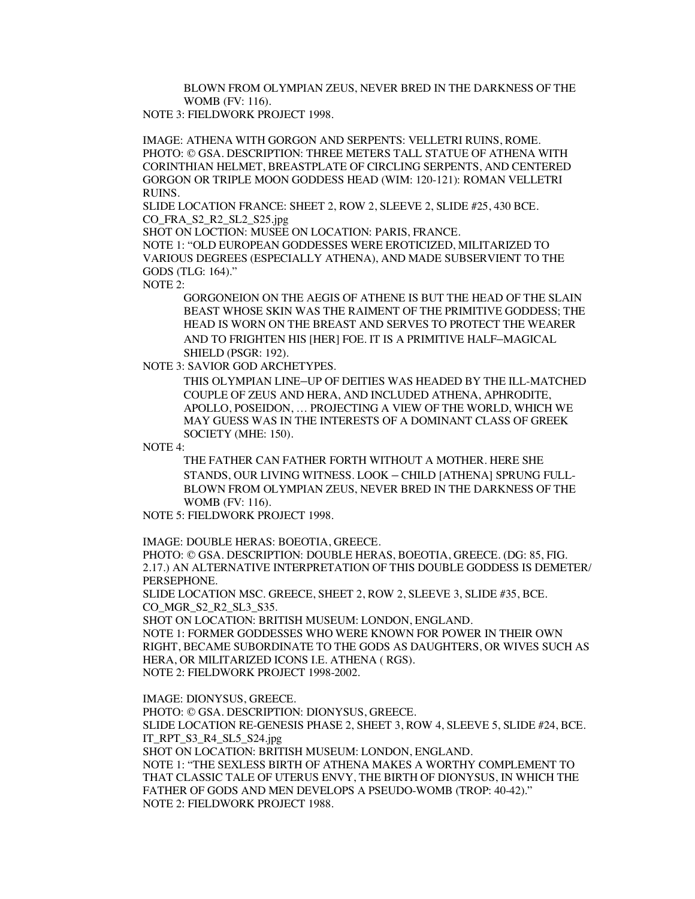BLOWN FROM OLYMPIAN ZEUS, NEVER BRED IN THE DARKNESS OF THE WOMB (FV: 116).

NOTE 3: FIELDWORK PROJECT 1998.

IMAGE: ATHENA WITH GORGON AND SERPENTS: VELLETRI RUINS, ROME. PHOTO: © GSA. DESCRIPTION: THREE METERS TALL STATUE OF ATHENA WITH CORINTHIAN HELMET, BREASTPLATE OF CIRCLING SERPENTS, AND CENTERED GORGON OR TRIPLE MOON GODDESS HEAD (WIM: 120-121): ROMAN VELLETRI RUINS.

SLIDE LOCATION FRANCE: SHEET 2, ROW 2, SLEEVE 2, SLIDE #25, 430 BCE. CO\_FRA\_S2\_R2\_SL2\_S25.jpg

SHOT ON LOCTION: MUSEE ON LOCATION: PARIS, FRANCE.

NOTE 1: "OLD EUROPEAN GODDESSES WERE EROTICIZED, MILITARIZED TO VARIOUS DEGREES (ESPECIALLY ATHENA), AND MADE SUBSERVIENT TO THE GODS (TLG: 164)."

NOTE 2:

GORGONEION ON THE AEGIS OF ATHENE IS BUT THE HEAD OF THE SLAIN BEAST WHOSE SKIN WAS THE RAIMENT OF THE PRIMITIVE GODDESS; THE HEAD IS WORN ON THE BREAST AND SERVES TO PROTECT THE WEARER AND TO FRIGHTEN HIS [HER] FOE. IT IS A PRIMITIVE HALF–MAGICAL SHIELD (PSGR: 192).

NOTE 3: SAVIOR GOD ARCHETYPES.

THIS OLYMPIAN LINE–UP OF DEITIES WAS HEADED BY THE ILL-MATCHED COUPLE OF ZEUS AND HERA, AND INCLUDED ATHENA, APHRODITE, APOLLO, POSEIDON, … PROJECTING A VIEW OF THE WORLD, WHICH WE MAY GUESS WAS IN THE INTERESTS OF A DOMINANT CLASS OF GREEK SOCIETY (MHE: 150).

NOTE 4:

THE FATHER CAN FATHER FORTH WITHOUT A MOTHER. HERE SHE STANDS, OUR LIVING WITNESS. LOOK – CHILD [ATHENA] SPRUNG FULL-BLOWN FROM OLYMPIAN ZEUS, NEVER BRED IN THE DARKNESS OF THE WOMB (FV: 116).

NOTE 5: FIELDWORK PROJECT 1998.

IMAGE: DOUBLE HERAS: BOEOTIA, GREECE.

PHOTO: © GSA. DESCRIPTION: DOUBLE HERAS, BOEOTIA, GREECE. (DG: 85, FIG. 2.17.) AN ALTERNATIVE INTERPRETATION OF THIS DOUBLE GODDESS IS DEMETER/ PERSEPHONE.

SLIDE LOCATION MSC. GREECE, SHEET 2, ROW 2, SLEEVE 3, SLIDE #35, BCE. CO\_MGR\_S2\_R2\_SL3\_S35.

SHOT ON LOCATION: BRITISH MUSEUM: LONDON, ENGLAND.

NOTE 1: FORMER GODDESSES WHO WERE KNOWN FOR POWER IN THEIR OWN RIGHT, BECAME SUBORDINATE TO THE GODS AS DAUGHTERS, OR WIVES SUCH AS HERA, OR MILITARIZED ICONS I.E. ATHENA ( RGS). NOTE 2: FIELDWORK PROJECT 1998-2002.

IMAGE: DIONYSUS, GREECE. PHOTO: © GSA. DESCRIPTION: DIONYSUS, GREECE. SLIDE LOCATION RE-GENESIS PHASE 2, SHEET 3, ROW 4, SLEEVE 5, SLIDE #24, BCE. IT\_RPT\_S3\_R4\_SL5\_S24.jpg SHOT ON LOCATION: BRITISH MUSEUM: LONDON, ENGLAND. NOTE 1: "THE SEXLESS BIRTH OF ATHENA MAKES A WORTHY COMPLEMENT TO THAT CLASSIC TALE OF UTERUS ENVY, THE BIRTH OF DIONYSUS, IN WHICH THE FATHER OF GODS AND MEN DEVELOPS A PSEUDO-WOMB (TROP: 40-42)." NOTE 2: FIELDWORK PROJECT 1988.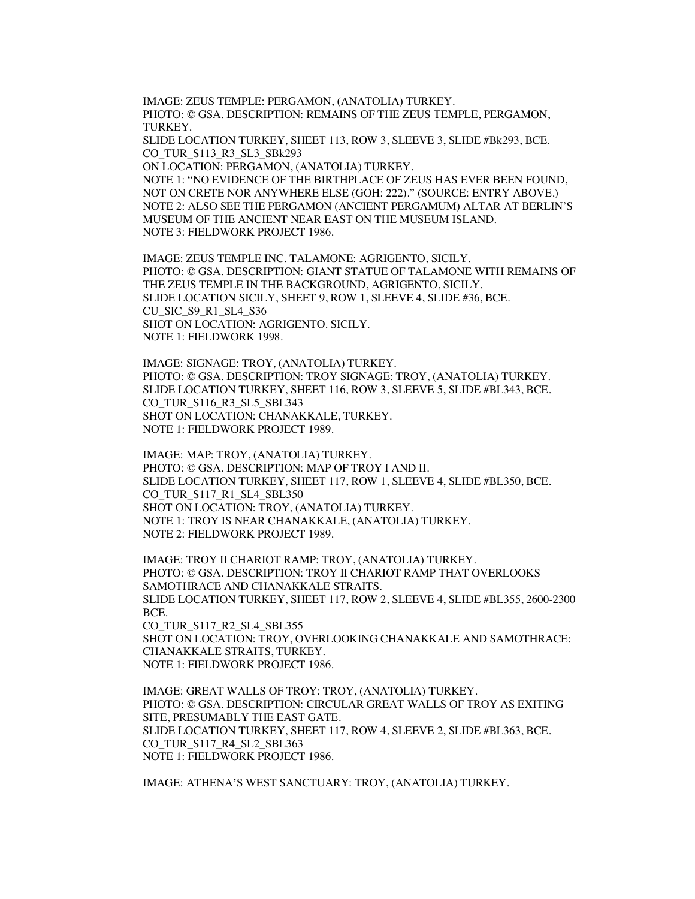IMAGE: ZEUS TEMPLE: PERGAMON, (ANATOLIA) TURKEY. PHOTO: © GSA. DESCRIPTION: REMAINS OF THE ZEUS TEMPLE, PERGAMON, TURKEY.

SLIDE LOCATION TURKEY, SHEET 113, ROW 3, SLEEVE 3, SLIDE #Bk293, BCE. CO\_TUR\_S113\_R3\_SL3\_SBk293

ON LOCATION: PERGAMON, (ANATOLIA) TURKEY. NOTE 1: "NO EVIDENCE OF THE BIRTHPLACE OF ZEUS HAS EVER BEEN FOUND, NOT ON CRETE NOR ANYWHERE ELSE (GOH: 222)." (SOURCE: ENTRY ABOVE.) NOTE 2: ALSO SEE THE PERGAMON (ANCIENT PERGAMUM) ALTAR AT BERLIN'S MUSEUM OF THE ANCIENT NEAR EAST ON THE MUSEUM ISLAND. NOTE 3: FIELDWORK PROJECT 1986.

IMAGE: ZEUS TEMPLE INC. TALAMONE: AGRIGENTO, SICILY. PHOTO: © GSA. DESCRIPTION: GIANT STATUE OF TALAMONE WITH REMAINS OF THE ZEUS TEMPLE IN THE BACKGROUND, AGRIGENTO, SICILY. SLIDE LOCATION SICILY, SHEET 9, ROW 1, SLEEVE 4, SLIDE #36, BCE. CU\_SIC\_S9\_R1\_SL4\_S36 SHOT ON LOCATION: AGRIGENTO. SICILY. NOTE 1: FIELDWORK 1998.

IMAGE: SIGNAGE: TROY, (ANATOLIA) TURKEY. PHOTO: © GSA. DESCRIPTION: TROY SIGNAGE: TROY, (ANATOLIA) TURKEY. SLIDE LOCATION TURKEY, SHEET 116, ROW 3, SLEEVE 5, SLIDE #BL343, BCE. CO\_TUR\_S116\_R3\_SL5\_SBL343 SHOT ON LOCATION: CHANAKKALE, TURKEY. NOTE 1: FIELDWORK PROJECT 1989.

IMAGE: MAP: TROY, (ANATOLIA) TURKEY. PHOTO: © GSA. DESCRIPTION: MAP OF TROY I AND II. SLIDE LOCATION TURKEY, SHEET 117, ROW 1, SLEEVE 4, SLIDE #BL350, BCE. CO\_TUR\_S117\_R1\_SL4\_SBL350 SHOT ON LOCATION: TROY, (ANATOLIA) TURKEY. NOTE 1: TROY IS NEAR CHANAKKALE, (ANATOLIA) TURKEY. NOTE 2: FIELDWORK PROJECT 1989.

IMAGE: TROY II CHARIOT RAMP: TROY, (ANATOLIA) TURKEY. PHOTO: © GSA. DESCRIPTION: TROY II CHARIOT RAMP THAT OVERLOOKS SAMOTHRACE AND CHANAKKALE STRAITS. SLIDE LOCATION TURKEY, SHEET 117, ROW 2, SLEEVE 4, SLIDE #BL355, 2600-2300 BCE. CO\_TUR\_S117\_R2\_SL4\_SBL355 SHOT ON LOCATION: TROY, OVERLOOKING CHANAKKALE AND SAMOTHRACE:

CHANAKKALE STRAITS, TURKEY. NOTE 1: FIELDWORK PROJECT 1986.

IMAGE: GREAT WALLS OF TROY: TROY, (ANATOLIA) TURKEY. PHOTO: © GSA. DESCRIPTION: CIRCULAR GREAT WALLS OF TROY AS EXITING SITE, PRESUMABLY THE EAST GATE. SLIDE LOCATION TURKEY, SHEET 117, ROW 4, SLEEVE 2, SLIDE #BL363, BCE. CO\_TUR\_S117\_R4\_SL2\_SBL363 NOTE 1: FIELDWORK PROJECT 1986.

IMAGE: ATHENA'S WEST SANCTUARY: TROY, (ANATOLIA) TURKEY.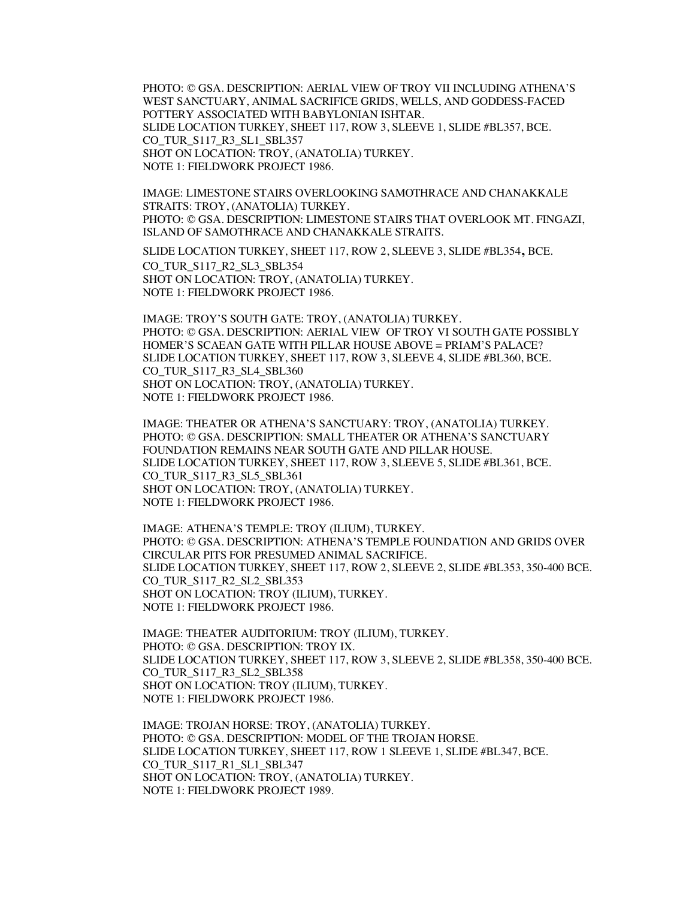PHOTO: © GSA. DESCRIPTION: AERIAL VIEW OF TROY VII INCLUDING ATHENA'S WEST SANCTUARY, ANIMAL SACRIFICE GRIDS, WELLS, AND GODDESS-FACED POTTERY ASSOCIATED WITH BABYLONIAN ISHTAR. SLIDE LOCATION TURKEY, SHEET 117, ROW 3, SLEEVE 1, SLIDE #BL357, BCE. CO\_TUR\_S117\_R3\_SL1\_SBL357 SHOT ON LOCATION: TROY, (ANATOLIA) TURKEY. NOTE 1: FIELDWORK PROJECT 1986.

IMAGE: LIMESTONE STAIRS OVERLOOKING SAMOTHRACE AND CHANAKKALE STRAITS: TROY, (ANATOLIA) TURKEY. PHOTO: © GSA. DESCRIPTION: LIMESTONE STAIRS THAT OVERLOOK MT. FINGAZI, ISLAND OF SAMOTHRACE AND CHANAKKALE STRAITS.

SLIDE LOCATION TURKEY, SHEET 117, ROW 2, SLEEVE 3, SLIDE #BL354, BCE. CO\_TUR\_S117\_R2\_SL3\_SBL354 SHOT ON LOCATION: TROY, (ANATOLIA) TURKEY. NOTE 1: FIELDWORK PROJECT 1986.

IMAGE: TROY'S SOUTH GATE: TROY, (ANATOLIA) TURKEY. PHOTO: © GSA. DESCRIPTION: AERIAL VIEW OF TROY VI SOUTH GATE POSSIBLY HOMER'S SCAEAN GATE WITH PILLAR HOUSE ABOVE = PRIAM'S PALACE? SLIDE LOCATION TURKEY, SHEET 117, ROW 3, SLEEVE 4, SLIDE #BL360, BCE. CO\_TUR\_S117\_R3\_SL4\_SBL360 SHOT ON LOCATION: TROY, (ANATOLIA) TURKEY. NOTE 1: FIELDWORK PROJECT 1986.

IMAGE: THEATER OR ATHENA'S SANCTUARY: TROY, (ANATOLIA) TURKEY. PHOTO: © GSA. DESCRIPTION: SMALL THEATER OR ATHENA'S SANCTUARY FOUNDATION REMAINS NEAR SOUTH GATE AND PILLAR HOUSE. SLIDE LOCATION TURKEY, SHEET 117, ROW 3, SLEEVE 5, SLIDE #BL361, BCE. CO\_TUR\_S117\_R3\_SL5\_SBL361 SHOT ON LOCATION: TROY, (ANATOLIA) TURKEY. NOTE 1: FIELDWORK PROJECT 1986.

IMAGE: ATHENA'S TEMPLE: TROY (ILIUM), TURKEY. PHOTO: © GSA. DESCRIPTION: ATHENA'S TEMPLE FOUNDATION AND GRIDS OVER CIRCULAR PITS FOR PRESUMED ANIMAL SACRIFICE. SLIDE LOCATION TURKEY, SHEET 117, ROW 2, SLEEVE 2, SLIDE #BL353, 350-400 BCE. CO\_TUR\_S117\_R2\_SL2\_SBL353 SHOT ON LOCATION: TROY (ILIUM), TURKEY. NOTE 1: FIELDWORK PROJECT 1986.

IMAGE: THEATER AUDITORIUM: TROY (ILIUM), TURKEY. PHOTO: © GSA. DESCRIPTION: TROY IX. SLIDE LOCATION TURKEY, SHEET 117, ROW 3, SLEEVE 2, SLIDE #BL358, 350-400 BCE. CO\_TUR\_S117\_R3\_SL2\_SBL358 SHOT ON LOCATION: TROY (ILIUM), TURKEY. NOTE 1: FIELDWORK PROJECT 1986.

IMAGE: TROJAN HORSE: TROY, (ANATOLIA) TURKEY. PHOTO: © GSA. DESCRIPTION: MODEL OF THE TROJAN HORSE. SLIDE LOCATION TURKEY, SHEET 117, ROW 1 SLEEVE 1, SLIDE #BL347, BCE. CO\_TUR\_S117\_R1\_SL1\_SBL347 SHOT ON LOCATION: TROY, (ANATOLIA) TURKEY. NOTE 1: FIELDWORK PROJECT 1989.